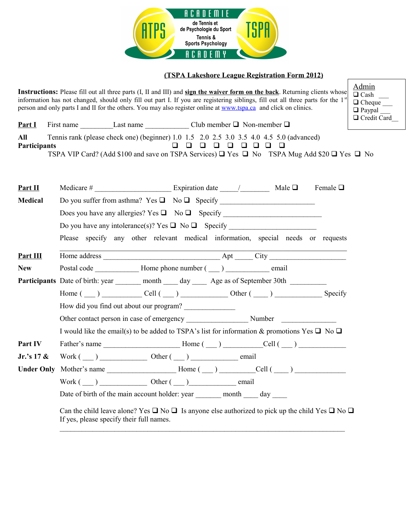

## **(TSPA Lakeshore League Registration Form 2012)**

**Instructions:** Please fill out all three parts (I, II and III) and **sign the waiver form on the back**. Returning clients whose information has not changed, should only fill out part I. If you are registering siblings, fill out all three parts for the 1<sup>st</sup> person and only parts I and II for the others. You may also register online at [www.tspa.ca](http://www.tspa.ca/) and click on clinics.



| Part I              | First name | Last name                                                                                                        |                   | Club member $\Box$ Non-member $\Box$ |  | $\sim$ |
|---------------------|------------|------------------------------------------------------------------------------------------------------------------|-------------------|--------------------------------------|--|--------|
| All                 |            | Tennis rank (please check one) (beginner) 1.0 1.5 2.0 2.5 3.0 3.5 4.0 4.5 5.0 (advanced)                         |                   |                                      |  |        |
| <b>Participants</b> |            |                                                                                                                  | 0 0 0 0 0 0 0 0 0 |                                      |  |        |
|                     |            | TSPA VIP Card? (Add \$100 and save on TSPA Services) $\Box$ Yes $\Box$ No TSPA Mug Add \$20 $\Box$ Yes $\Box$ No |                   |                                      |  |        |

| <u>Part II</u>  | Female $\Box$                                                                                                                                                           |  |  |  |  |  |  |  |  |
|-----------------|-------------------------------------------------------------------------------------------------------------------------------------------------------------------------|--|--|--|--|--|--|--|--|
| <b>Medical</b>  |                                                                                                                                                                         |  |  |  |  |  |  |  |  |
|                 | Please specify any other relevant medical information, special needs or requests                                                                                        |  |  |  |  |  |  |  |  |
|                 |                                                                                                                                                                         |  |  |  |  |  |  |  |  |
|                 |                                                                                                                                                                         |  |  |  |  |  |  |  |  |
| <u>Part III</u> |                                                                                                                                                                         |  |  |  |  |  |  |  |  |
| <b>New</b>      |                                                                                                                                                                         |  |  |  |  |  |  |  |  |
|                 | Participants Date of birth: year _______ month _____ day ______ Age as of September 30th _________                                                                      |  |  |  |  |  |  |  |  |
|                 | Home $(\underline{\hspace{1cm}})$ $\underline{\hspace{1cm}}$ Cell $(\underline{\hspace{1cm}})$ $\underline{\hspace{1cm}}$ Other $(\underline{\hspace{1cm}})$<br>Specify |  |  |  |  |  |  |  |  |
|                 | How did you find out about our program?                                                                                                                                 |  |  |  |  |  |  |  |  |
|                 | Other contact person in case of emergency Number Number                                                                                                                 |  |  |  |  |  |  |  |  |
|                 | I would like the email(s) to be added to TSPA's list for information & promotions Yes $\Box$ No $\Box$                                                                  |  |  |  |  |  |  |  |  |
| Part IV         |                                                                                                                                                                         |  |  |  |  |  |  |  |  |
| Jr.'s $17 \&$   | $Work(\_\_)$ Other $(\_\_)$ email                                                                                                                                       |  |  |  |  |  |  |  |  |
|                 | Under Only Mother's name $\_\_\_\_\_\$ Home $(\_\_\_\_\_\_\_\_$ Cell $(\_\_\_\_\_\_\_\_$                                                                                |  |  |  |  |  |  |  |  |
|                 | $Work (\_\_)$ Other $(\_\_)$ Other $(\_\_)$                                                                                                                             |  |  |  |  |  |  |  |  |
|                 | Date of birth of the main account holder: year __________ month ______ day _____                                                                                        |  |  |  |  |  |  |  |  |
|                 | Can the child leave alone? Yes $\Box$ No $\Box$ Is anyone else authorized to pick up the child Yes $\Box$ No $\Box$                                                     |  |  |  |  |  |  |  |  |

If yes, please specify their full names.